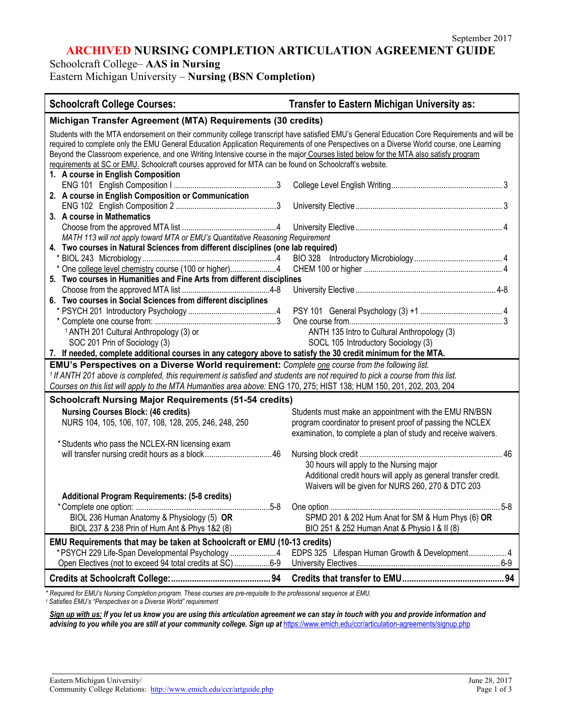## **ARCHIVED NURSING COMPLETION ARTICULATION AGREEMENT GUIDE**

Schoolcraft College– **AAS in Nursing**

Eastern Michigan University – **Nursing (BSN Completion)**

| <b>Schoolcraft College Courses:</b>                                                                                                                                                                                                                                                                                                                                                                                                                                                                                                        | <b>Transfer to Eastern Michigan University as:</b>                                                                                                                                  |  |
|--------------------------------------------------------------------------------------------------------------------------------------------------------------------------------------------------------------------------------------------------------------------------------------------------------------------------------------------------------------------------------------------------------------------------------------------------------------------------------------------------------------------------------------------|-------------------------------------------------------------------------------------------------------------------------------------------------------------------------------------|--|
| Michigan Transfer Agreement (MTA) Requirements (30 credits)                                                                                                                                                                                                                                                                                                                                                                                                                                                                                |                                                                                                                                                                                     |  |
| Students with the MTA endorsement on their community college transcript have satisfied EMU's General Education Core Requirements and will be<br>required to complete only the EMU General Education Application Requirements of one Perspectives on a Diverse World course, one Learning<br>Beyond the Classroom experience, and one Writing Intensive course in the major Courses listed below for the MTA also satisfy program<br>requirements at SC or EMU. Schoolcraft courses approved for MTA can be found on Schoolcraft's website. |                                                                                                                                                                                     |  |
| 1. A course in English Composition<br>2. A course in English Composition or Communication                                                                                                                                                                                                                                                                                                                                                                                                                                                  |                                                                                                                                                                                     |  |
| 3. A course in Mathematics                                                                                                                                                                                                                                                                                                                                                                                                                                                                                                                 |                                                                                                                                                                                     |  |
| MATH 113 will not apply toward MTA or EMU's Quantitative Reasoning Requirement                                                                                                                                                                                                                                                                                                                                                                                                                                                             |                                                                                                                                                                                     |  |
| 4. Two courses in Natural Sciences from different disciplines (one lab required)                                                                                                                                                                                                                                                                                                                                                                                                                                                           |                                                                                                                                                                                     |  |
| * One college level chemistry course (100 or higher)4<br>5. Two courses in Humanities and Fine Arts from different disciplines                                                                                                                                                                                                                                                                                                                                                                                                             |                                                                                                                                                                                     |  |
| 6. Two courses in Social Sciences from different disciplines                                                                                                                                                                                                                                                                                                                                                                                                                                                                               |                                                                                                                                                                                     |  |
| <sup>1</sup> ANTH 201 Cultural Anthropology (3) or                                                                                                                                                                                                                                                                                                                                                                                                                                                                                         | ANTH 135 Intro to Cultural Anthropology (3)                                                                                                                                         |  |
| SOC 201 Prin of Sociology (3)<br>7. If needed, complete additional courses in any category above to satisfy the 30 credit minimum for the MTA.                                                                                                                                                                                                                                                                                                                                                                                             | SOCL 105 Introductory Sociology (3)                                                                                                                                                 |  |
| EMU's Perspectives on a Diverse World requirement: Complete one course from the following list.<br><sup>1</sup> If ANTH 201 above is completed, this requirement is satisfied and students are not required to pick a course from this list.<br>Courses on this list will apply to the MTA Humanities area above: ENG 170, 275; HIST 138; HUM 150, 201, 202, 203, 204                                                                                                                                                                      |                                                                                                                                                                                     |  |
| <b>Schoolcraft Nursing Major Requirements (51-54 credits)</b>                                                                                                                                                                                                                                                                                                                                                                                                                                                                              |                                                                                                                                                                                     |  |
| <b>Nursing Courses Block: (46 credits)</b><br>NURS 104, 105, 106, 107, 108, 128, 205, 246, 248, 250                                                                                                                                                                                                                                                                                                                                                                                                                                        | Students must make an appointment with the EMU RN/BSN<br>program coordinator to present proof of passing the NCLEX<br>examination, to complete a plan of study and receive waivers. |  |
| * Students who pass the NCLEX-RN licensing exam                                                                                                                                                                                                                                                                                                                                                                                                                                                                                            | 30 hours will apply to the Nursing major<br>Additional credit hours will apply as general transfer credit.<br>Waivers will be given for NURS 260, 270 & DTC 203                     |  |
| <b>Additional Program Requirements: (5-8 credits)</b>                                                                                                                                                                                                                                                                                                                                                                                                                                                                                      |                                                                                                                                                                                     |  |
| BIOL 236 Human Anatomy & Physiology (5) OR<br>BIOL 237 & 238 Prin of Hum Ant & Phys 1&2 (8)                                                                                                                                                                                                                                                                                                                                                                                                                                                | SPMD 201 & 202 Hum Anat for SM & Hum Phys (6) OR<br>BIO 251 & 252 Human Anat & Physio I & II (8)                                                                                    |  |
| EMU Requirements that may be taken at Schoolcraft or EMU (10-13 credits)<br>* PSYCH 229 Life-Span Developmental Psychology 4<br>Open Electives (not to exceed 94 total credits at SC) 6-9                                                                                                                                                                                                                                                                                                                                                  | EDPS 325 Lifespan Human Growth & Development 4                                                                                                                                      |  |
|                                                                                                                                                                                                                                                                                                                                                                                                                                                                                                                                            |                                                                                                                                                                                     |  |

*\* Required for EMU's Nursing Completion program. These courses are pre-requisite to the professional sequence at EMU. <sup>1</sup> Satisfies EMU's "Perspectives on a Diverse World" requirement*

*Sign up with us: If you let us know you are using this articulation agreement we can stay in touch with you and provide information and*  advising to you while you are still at your community college. Sign up at <https://www.emich.edu/ccr/articulation-agreements/signup.php>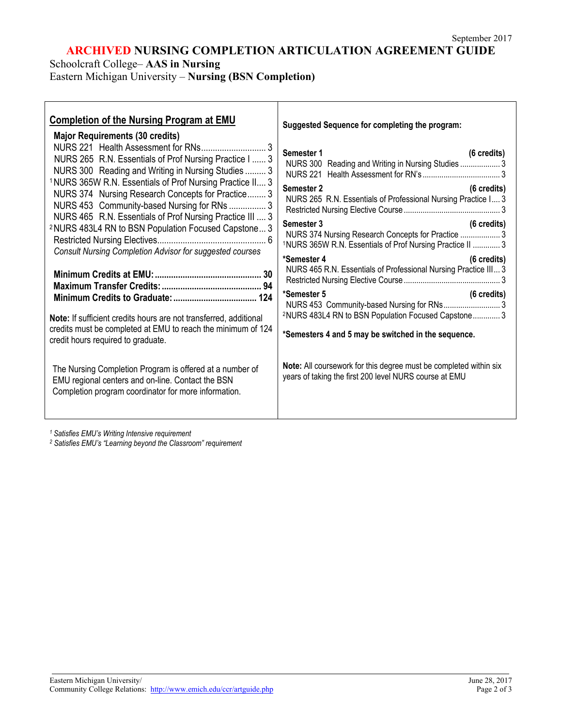# **ARCHIVED NURSING COMPLETION ARTICULATION AGREEMENT GUIDE**

Schoolcraft College– **AAS in Nursing**

Г

Eastern Michigan University – **Nursing (BSN Completion)**

| <b>Completion of the Nursing Program at EMU</b><br><b>Major Requirements (30 credits)</b>                                                                                                                                                                                                                                                            | Suggested Sequence for completing the program:                                                                                                                                                                       |
|------------------------------------------------------------------------------------------------------------------------------------------------------------------------------------------------------------------------------------------------------------------------------------------------------------------------------------------------------|----------------------------------------------------------------------------------------------------------------------------------------------------------------------------------------------------------------------|
| NURS 265 R.N. Essentials of Prof Nursing Practice I  3<br>NURS 300 Reading and Writing in Nursing Studies  3<br><sup>1</sup> NURS 365W R.N. Essentials of Prof Nursing Practice II 3<br>NURS 374 Nursing Research Concepts for Practice 3<br>NURS 453 Community-based Nursing for RNs  3<br>NURS 465 R.N. Essentials of Prof Nursing Practice III  3 | Semester 1<br>(6 credits)<br>NURS 300 Reading and Writing in Nursing Studies  3<br>Semester 2<br>$(6 \text{ credits})$<br>NURS 265 R.N. Essentials of Professional Nursing Practice I 3<br>(6 credits)<br>Semester 3 |
| <sup>2</sup> NURS 483L4 RN to BSN Population Focused Capstone 3<br>Consult Nursing Completion Advisor for suggested courses                                                                                                                                                                                                                          | NURS 374 Nursing Research Concepts for Practice  3<br>1NURS 365W R.N. Essentials of Prof Nursing Practice II  3<br>*Semester 4<br>(6 credits)                                                                        |
|                                                                                                                                                                                                                                                                                                                                                      | NURS 465 R.N. Essentials of Professional Nursing Practice III 3                                                                                                                                                      |
| Note: If sufficient credits hours are not transferred, additional<br>credits must be completed at EMU to reach the minimum of 124<br>credit hours required to graduate.                                                                                                                                                                              | *Semester 5<br>$(6 \text{ credits})$<br>NURS 453 Community-based Nursing for RNs3<br><sup>2</sup> NURS 483L4 RN to BSN Population Focused Capstone 3<br>*Semesters 4 and 5 may be switched in the sequence.          |
| The Nursing Completion Program is offered at a number of<br>EMU regional centers and on-line. Contact the BSN<br>Completion program coordinator for more information.                                                                                                                                                                                | Note: All coursework for this degree must be completed within six<br>years of taking the first 200 level NURS course at EMU                                                                                          |

*<sup>1</sup> Satisfies EMU's Writing Intensive requirement*

*<sup>2</sup> Satisfies EMU's "Learning beyond the Classroom" requirement*